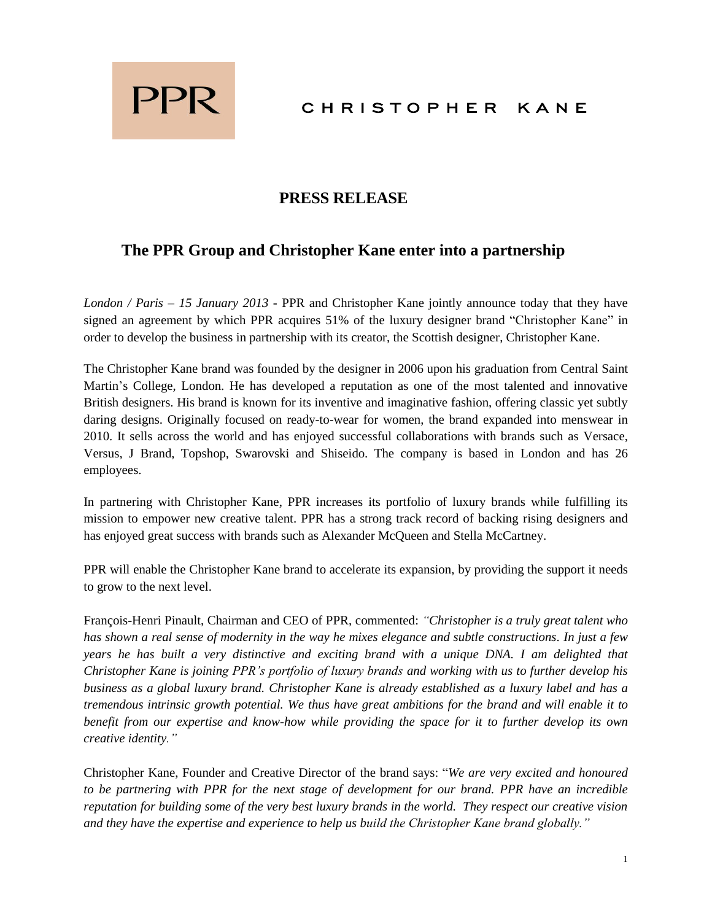

## CHRISTOPHER KANE

### **PRESS RELEASE**

# **The PPR Group and Christopher Kane enter into a partnership**

*London / Paris – 15 January 2013 -* PPR and Christopher Kane jointly announce today that they have signed an agreement by which PPR acquires 51% of the luxury designer brand "Christopher Kane" in order to develop the business in partnership with its creator, the Scottish designer, Christopher Kane.

The Christopher Kane brand was founded by the designer in 2006 upon his graduation from Central Saint Martin's College, London. He has developed a reputation as one of the most talented and innovative British designers. His brand is known for its inventive and imaginative fashion, offering classic yet subtly daring designs. Originally focused on ready-to-wear for women, the brand expanded into menswear in 2010. It sells across the world and has enjoyed successful collaborations with brands such as Versace, Versus, J Brand, Topshop, Swarovski and Shiseido. The company is based in London and has 26 employees.

In partnering with Christopher Kane, PPR increases its portfolio of luxury brands while fulfilling its mission to empower new creative talent. PPR has a strong track record of backing rising designers and has enjoyed great success with brands such as Alexander McQueen and Stella McCartney.

PPR will enable the Christopher Kane brand to accelerate its expansion, by providing the support it needs to grow to the next level.

François-Henri Pinault, Chairman and CEO of PPR, commented: *"Christopher is a truly great talent who has shown a real sense of modernity in the way he mixes elegance and subtle constructions. In just a few years he has built a very distinctive and exciting brand with a unique DNA. I am delighted that Christopher Kane is joining PPR's portfolio of luxury brands and working with us to further develop his business as a global luxury brand. Christopher Kane is already established as a luxury label and has a tremendous intrinsic growth potential. We thus have great ambitions for the brand and will enable it to benefit from our expertise and know-how while providing the space for it to further develop its own creative identity."*

Christopher Kane, Founder and Creative Director of the brand says: "*We are very excited and honoured to be partnering with PPR for the next stage of development for our brand. PPR have an incredible reputation for building some of the very best luxury brands in the world. They respect our creative vision and they have the expertise and experience to help us build the Christopher Kane brand globally."*